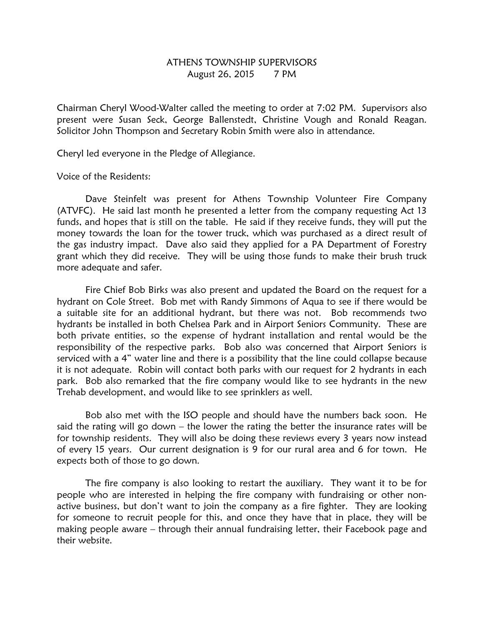## ATHENS TOWNSHIP SUPERVISORS August 26, 2015 7 PM

Chairman Cheryl Wood-Walter called the meeting to order at 7:02 PM. Supervisors also present were Susan Seck, George Ballenstedt, Christine Vough and Ronald Reagan. Solicitor John Thompson and Secretary Robin Smith were also in attendance.

Cheryl led everyone in the Pledge of Allegiance.

Voice of the Residents:

 Dave Steinfelt was present for Athens Township Volunteer Fire Company (ATVFC). He said last month he presented a letter from the company requesting Act 13 funds, and hopes that is still on the table. He said if they receive funds, they will put the money towards the loan for the tower truck, which was purchased as a direct result of the gas industry impact. Dave also said they applied for a PA Department of Forestry grant which they did receive. They will be using those funds to make their brush truck more adequate and safer.

 Fire Chief Bob Birks was also present and updated the Board on the request for a hydrant on Cole Street. Bob met with Randy Simmons of Aqua to see if there would be a suitable site for an additional hydrant, but there was not. Bob recommends two hydrants be installed in both Chelsea Park and in Airport Seniors Community. These are both private entities, so the expense of hydrant installation and rental would be the responsibility of the respective parks. Bob also was concerned that Airport Seniors is serviced with a 4" water line and there is a possibility that the line could collapse because it is not adequate. Robin will contact both parks with our request for 2 hydrants in each park. Bob also remarked that the fire company would like to see hydrants in the new Trehab development, and would like to see sprinklers as well.

 Bob also met with the ISO people and should have the numbers back soon. He said the rating will go down – the lower the rating the better the insurance rates will be for township residents. They will also be doing these reviews every 3 years now instead of every 15 years. Our current designation is 9 for our rural area and 6 for town. He expects both of those to go down.

 The fire company is also looking to restart the auxiliary. They want it to be for people who are interested in helping the fire company with fundraising or other nonactive business, but don't want to join the company as a fire fighter. They are looking for someone to recruit people for this, and once they have that in place, they will be making people aware – through their annual fundraising letter, their Facebook page and their website.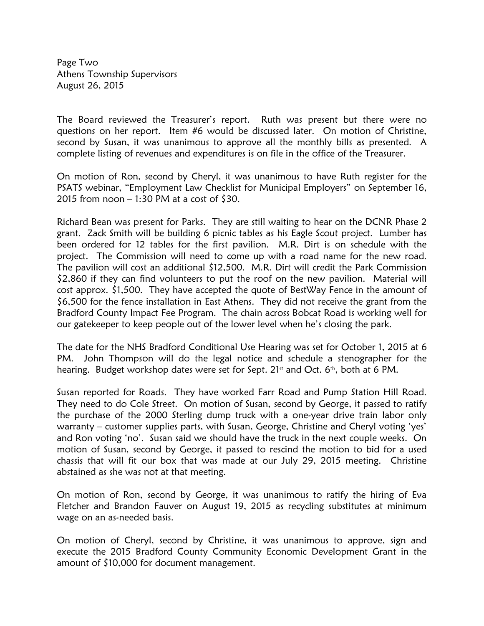Page Two Athens Township Supervisors August 26, 2015

The Board reviewed the Treasurer's report. Ruth was present but there were no questions on her report. Item #6 would be discussed later. On motion of Christine, second by Susan, it was unanimous to approve all the monthly bills as presented. A complete listing of revenues and expenditures is on file in the office of the Treasurer.

On motion of Ron, second by Cheryl, it was unanimous to have Ruth register for the PSATS webinar, "Employment Law Checklist for Municipal Employers" on September 16, 2015 from noon – 1:30 PM at a cost of \$30.

Richard Bean was present for Parks. They are still waiting to hear on the DCNR Phase 2 grant. Zack Smith will be building 6 picnic tables as his Eagle Scout project. Lumber has been ordered for 12 tables for the first pavilion. M.R. Dirt is on schedule with the project. The Commission will need to come up with a road name for the new road. The pavilion will cost an additional \$12,500. M.R. Dirt will credit the Park Commission \$2,860 if they can find volunteers to put the roof on the new pavilion. Material will cost approx. \$1,500. They have accepted the quote of BestWay Fence in the amount of \$6,500 for the fence installation in East Athens. They did not receive the grant from the Bradford County Impact Fee Program. The chain across Bobcat Road is working well for our gatekeeper to keep people out of the lower level when he's closing the park.

The date for the NHS Bradford Conditional Use Hearing was set for October 1, 2015 at 6 PM. John Thompson will do the legal notice and schedule a stenographer for the hearing. Budget workshop dates were set for Sept.  $21<sup>st</sup>$  and Oct.  $6<sup>th</sup>$ , both at 6 PM.

Susan reported for Roads. They have worked Farr Road and Pump Station Hill Road. They need to do Cole Street. On motion of Susan, second by George, it passed to ratify the purchase of the 2000 Sterling dump truck with a one-year drive train labor only warranty – customer supplies parts, with Susan, George, Christine and Cheryl voting 'yes' and Ron voting 'no'. Susan said we should have the truck in the next couple weeks. On motion of Susan, second by George, it passed to rescind the motion to bid for a used chassis that will fit our box that was made at our July 29, 2015 meeting. Christine abstained as she was not at that meeting.

On motion of Ron, second by George, it was unanimous to ratify the hiring of Eva Fletcher and Brandon Fauver on August 19, 2015 as recycling substitutes at minimum wage on an as-needed basis.

On motion of Cheryl, second by Christine, it was unanimous to approve, sign and execute the 2015 Bradford County Community Economic Development Grant in the amount of \$10,000 for document management.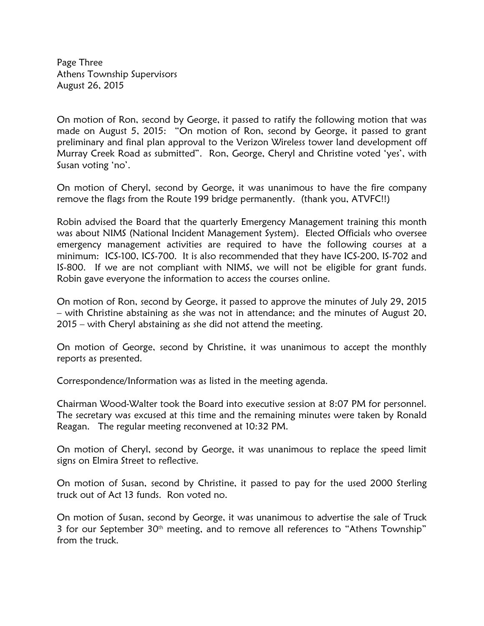Page Three Athens Township Supervisors August 26, 2015

On motion of Ron, second by George, it passed to ratify the following motion that was made on August 5, 2015: "On motion of Ron, second by George, it passed to grant preliminary and final plan approval to the Verizon Wireless tower land development off Murray Creek Road as submitted". Ron, George, Cheryl and Christine voted 'yes', with Susan voting 'no'.

On motion of Cheryl, second by George, it was unanimous to have the fire company remove the flags from the Route 199 bridge permanently. (thank you, ATVFC!!)

Robin advised the Board that the quarterly Emergency Management training this month was about NIMS (National Incident Management System). Elected Officials who oversee emergency management activities are required to have the following courses at a minimum: ICS-100, ICS-700. It is also recommended that they have ICS-200, IS-702 and IS-800. If we are not compliant with NIMS, we will not be eligible for grant funds. Robin gave everyone the information to access the courses online.

On motion of Ron, second by George, it passed to approve the minutes of July 29, 2015 – with Christine abstaining as she was not in attendance; and the minutes of August 20, 2015 – with Cheryl abstaining as she did not attend the meeting.

On motion of George, second by Christine, it was unanimous to accept the monthly reports as presented.

Correspondence/Information was as listed in the meeting agenda.

Chairman Wood-Walter took the Board into executive session at 8:07 PM for personnel. The secretary was excused at this time and the remaining minutes were taken by Ronald Reagan. The regular meeting reconvened at 10:32 PM.

On motion of Cheryl, second by George, it was unanimous to replace the speed limit signs on Elmira Street to reflective.

On motion of Susan, second by Christine, it passed to pay for the used 2000 Sterling truck out of Act 13 funds. Ron voted no.

On motion of Susan, second by George, it was unanimous to advertise the sale of Truck 3 for our September 30<sup>th</sup> meeting, and to remove all references to "Athens Township" from the truck.